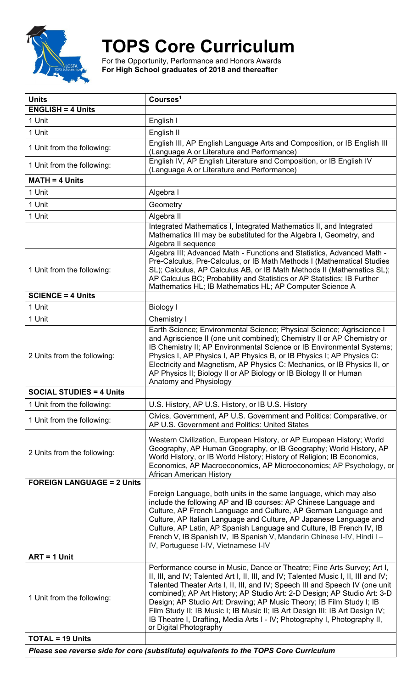

## **TOPS Core Curriculum**

For the Opportunity, Performance and Honors Awards **For High School graduates of 2018 and thereafter**

| <b>Units</b>                                                                          | Courses <sup>1</sup>                                                                                                                                                                                                                                                                                                                                                                                                                                                                                                                                                                      |  |
|---------------------------------------------------------------------------------------|-------------------------------------------------------------------------------------------------------------------------------------------------------------------------------------------------------------------------------------------------------------------------------------------------------------------------------------------------------------------------------------------------------------------------------------------------------------------------------------------------------------------------------------------------------------------------------------------|--|
| <b>ENGLISH = 4 Units</b>                                                              |                                                                                                                                                                                                                                                                                                                                                                                                                                                                                                                                                                                           |  |
| 1 Unit                                                                                | English I                                                                                                                                                                                                                                                                                                                                                                                                                                                                                                                                                                                 |  |
| 1 Unit                                                                                | English II                                                                                                                                                                                                                                                                                                                                                                                                                                                                                                                                                                                |  |
| 1 Unit from the following:                                                            | English III, AP English Language Arts and Composition, or IB English III<br>(Language A or Literature and Performance)                                                                                                                                                                                                                                                                                                                                                                                                                                                                    |  |
| 1 Unit from the following:                                                            | English IV, AP English Literature and Composition, or IB English IV<br>(Language A or Literature and Performance)                                                                                                                                                                                                                                                                                                                                                                                                                                                                         |  |
| <b>MATH = 4 Units</b>                                                                 |                                                                                                                                                                                                                                                                                                                                                                                                                                                                                                                                                                                           |  |
| 1 Unit                                                                                | Algebra I                                                                                                                                                                                                                                                                                                                                                                                                                                                                                                                                                                                 |  |
| 1 Unit                                                                                | Geometry                                                                                                                                                                                                                                                                                                                                                                                                                                                                                                                                                                                  |  |
| 1 Unit                                                                                | Algebra II                                                                                                                                                                                                                                                                                                                                                                                                                                                                                                                                                                                |  |
|                                                                                       | Integrated Mathematics I, Integrated Mathematics II, and Integrated<br>Mathematics III may be substituted for the Algebra I, Geometry, and<br>Algebra II sequence                                                                                                                                                                                                                                                                                                                                                                                                                         |  |
| 1 Unit from the following:                                                            | Algebra III; Advanced Math - Functions and Statistics, Advanced Math -<br>Pre-Calculus, Pre-Calculus, or IB Math Methods I (Mathematical Studies<br>SL); Calculus, AP Calculus AB, or IB Math Methods II (Mathematics SL);<br>AP Calculus BC; Probability and Statistics or AP Statistics; IB Further<br>Mathematics HL; IB Mathematics HL; AP Computer Science A                                                                                                                                                                                                                         |  |
| <b>SCIENCE = 4 Units</b>                                                              |                                                                                                                                                                                                                                                                                                                                                                                                                                                                                                                                                                                           |  |
| 1 Unit                                                                                | <b>Biology I</b>                                                                                                                                                                                                                                                                                                                                                                                                                                                                                                                                                                          |  |
| 1 Unit                                                                                | Chemistry I                                                                                                                                                                                                                                                                                                                                                                                                                                                                                                                                                                               |  |
| 2 Units from the following:                                                           | Earth Science; Environmental Science; Physical Science; Agriscience I<br>and Agriscience II (one unit combined); Chemistry II or AP Chemistry or<br>IB Chemistry II; AP Environmental Science or IB Environmental Systems;<br>Physics I, AP Physics I, AP Physics B, or IB Physics I; AP Physics C:<br>Electricity and Magnetism, AP Physics C: Mechanics, or IB Physics II, or<br>AP Physics II; Biology II or AP Biology or IB Biology II or Human<br>Anatomy and Physiology                                                                                                            |  |
| <b>SOCIAL STUDIES = 4 Units</b>                                                       |                                                                                                                                                                                                                                                                                                                                                                                                                                                                                                                                                                                           |  |
| 1 Unit from the following:                                                            | U.S. History, AP U.S. History, or IB U.S. History                                                                                                                                                                                                                                                                                                                                                                                                                                                                                                                                         |  |
| 1 Unit from the following:                                                            | Civics, Government, AP U.S. Government and Politics: Comparative, or<br>AP U.S. Government and Politics: United States                                                                                                                                                                                                                                                                                                                                                                                                                                                                    |  |
| 2 Units from the following:                                                           | Western Civilization, European History, or AP European History; World<br>Geography, AP Human Geography, or IB Geography; World History, AP<br>World History, or IB World History; History of Religion; IB Economics,<br>Economics, AP Macroeconomics, AP Microeconomics; AP Psychology, or<br><b>African American History</b>                                                                                                                                                                                                                                                             |  |
| <b>FOREIGN LANGUAGE = 2 Units</b>                                                     |                                                                                                                                                                                                                                                                                                                                                                                                                                                                                                                                                                                           |  |
|                                                                                       | Foreign Language, both units in the same language, which may also<br>include the following AP and IB courses: AP Chinese Language and<br>Culture, AP French Language and Culture, AP German Language and<br>Culture, AP Italian Language and Culture, AP Japanese Language and<br>Culture, AP Latin, AP Spanish Language and Culture, IB French IV, IB<br>French V, IB Spanish IV, IB Spanish V, Mandarin Chinese I-IV, Hindi I -<br>IV, Portuguese I-IV, Vietnamese I-IV                                                                                                                 |  |
| $ART = 1$ Unit                                                                        |                                                                                                                                                                                                                                                                                                                                                                                                                                                                                                                                                                                           |  |
| 1 Unit from the following:                                                            | Performance course in Music, Dance or Theatre; Fine Arts Survey; Art I,<br>II, III, and IV; Talented Art I, II, III, and IV; Talented Music I, II, III and IV;<br>Talented Theater Arts I, II, III, and IV; Speech III and Speech IV (one unit<br>combined); AP Art History; AP Studio Art: 2-D Design; AP Studio Art: 3-D<br>Design; AP Studio Art: Drawing; AP Music Theory; IB Film Study I; IB<br>Film Study II; IB Music I; IB Music II; IB Art Design III; IB Art Design IV;<br>IB Theatre I, Drafting, Media Arts I - IV; Photography I, Photography II,<br>or Digital Photography |  |
| <b>TOTAL = 19 Units</b>                                                               |                                                                                                                                                                                                                                                                                                                                                                                                                                                                                                                                                                                           |  |
| Please see reverse side for core (substitute) equivalents to the TOPS Core Curriculum |                                                                                                                                                                                                                                                                                                                                                                                                                                                                                                                                                                                           |  |